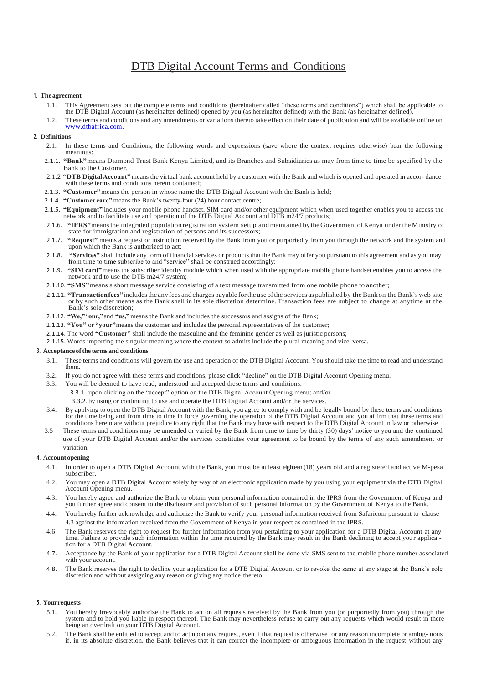# DTB Digital Account Terms and Conditions

#### **1. The agreement**

- 1.1. This Agreement sets out the complete terms and conditions (hereinafter called "these terms and conditions") which shall be applicable to the DTB Digital Account (as hereinafter defined) opened by you (as hereinafter defined) with the Bank (as hereinafter defined).
- 1.2. These terms and conditions and any amendments or variations thereto take effect on their date of publication and will be available online on [www.dtbafrica.com.](http://www.dtbafrica.com/)

## **2. Definitions**

- 2.1. In these terms and Conditions, the following words and expressions (save where the context requires otherwise) bear the following meanings:
- 2.1.1. **"Bank"**means Diamond Trust Bank Kenya Limited, and its Branches and Subsidiaries as may from time to time be specified by the Bank to the Customer.
- 2.1.2 **"DTB DigitalAccount"** means the virtual bank account held by a customer with the Bank and which is opened and operated in accor- dance with these terms and conditions herein contained;
- 2.1.3. **"Customer"**means the person in whose name the DTB Digital Account with the Bank is held;
- 2.1.4. **"Customer care"** means the Bank's twenty-four (24) hour contact centre;
- 2.1.5. **"Equipment"** includes your mobile phone handset, SIM card and/or other equipment which when used together enables you to access the network and to facilitate use and operation of the DTB Digital Account and DTB m24/7 products;
- 2.1.6. "IPRS" means the integrated population registration system setup and maintained by the Government of Kenya under the Ministry of state for immigration and registration of persons and its successors;
- 2.1.7. **"Request"** means a request or instruction received by the Bank from you or purportedly from you through the network and the system and upon which the Bank is authorized to act;
- 2.1.8. **"Services"** shall include any form of financial services or products that the Bank may offer you pursuant to this agreement and as you may from time to time subscribe to and "service" shall be construed accordingly;
- 2.1.9. "SIM card" means the subscriber identity module which when used with the appropriate mobile phone handset enables you to access the network and to use the DTB m24/7 system;
- 2.1.10. "SMS" means a short message service consisting of a text message transmitted from one mobile phone to another;
- 2.1.11. **"Transactionfees"** includes the any fees and charges payable for the use of the services as published by the Bank on the Bank's web site or by such other means as the Bank shall in its sole discretion determine. Transaction fees are subject to change at anytime at the Bank's sole discretion;
- 2.1.12. **"We,"**"**our,"**and **"us,"**means the Bank and includes the successors and assigns of the Bank;
- 2.1.13. **"You"** or **"your"**means the customer and includes the personal representatives of the customer;
- 2.1.14. The word **"Customer"** shall include the masculine and the feminine gender as well as juristic persons;
- 2.1.15. Words importing the singular meaning where the context so admits include the plural meaning and vice versa.

#### **3. Acceptance ofthe terms and conditions**

- 3.1. These terms and conditions will govern the use and operation of the DTB Digital Account; You should take the time to read and understand them.
- 3.2. If you do not agree with these terms and conditions, please click "decline" on the DTB Digital Account Opening menu.
- 3.3. You will be deemed to have read, understood and accepted these terms and conditions:
	- 3.3.1. upon clicking on the "accept" option on the DTB Digital Account Opening menu; and/or
		- 3.3.2. by using or continuing to use and operate the DTB Digital Account and/or the services.
- 3.4. By applying to open the DTB Digital Account with the Bank, you agree to comply with and be legally bound by these terms and conditions for the time being and from time to time in force governing the operation of the DTB Digital Account and you affirm that these terms and conditions herein are without prejudice to any right that the Bank may have with resp
- 3.5 These terms and conditions may be amended or varied by the Bank from time to time by thirty (30) days' notice to you and the continued use of your DTB Digital Account and/or the services constitutes your agreement to be bound by the terms of any such amendment or variation.

#### **4. Account opening**

- 4.1. In order to open a DTB Digital Account with the Bank, you must be at least eighteen (18) years old and a registered and active M-pesa subscriber.
- 4.2. You may open a DTB Digital Account solely by way of an electronic application made by you using your equipment via the DTB Digital Account Opening menu.
- 4.3. You hereby agree and authorize the Bank to obtain your personal information contained in the IPRS from the Government of Kenya and you further agree and consent to the disclosure and provision of such personal informa
- 4.4. You hereby further acknowledge and authorize the Bank to verify your personal information received from Safaricom pursuant to clause 4.3 against the information received from the Government of Kenya in your respect as contained in the IPRS.
- 4.6 The Bank reserves the right to request for further information from you pertaining to your application for a DTB Digital Account at any time. Failure to provide such information within the time required by the Bank may result in the Bank declining to accept your applica tion for a DTB Digital Account.
- 4.7. Acceptance by the Bank of your application for a DTB Digital Account shall be done via SMS sent to the mobile phone number associated with your account.
- 4.8. The Bank reserves the right to decline your application for a DTB Digital Account or to revoke the same at any stage at the Bank's sole discretion and without assigning any reason or giving any notice thereto.

## **5. Yourrequests**

- 5.1. You hereby irrevocably authorize the Bank to act on all requests received by the Bank from you (or purportedly from you) through the system and to hold you liable in respect thereof. The Bank may nevertheless refuse t being an overdraft on your DTB Digital Account.
- 5.2. The Bank shall be entitled to accept and to act upon any request, even if that request is otherwise for any reason incomplete or ambig- uous if, in its absolute discretion, the Bank believes that it can correct the in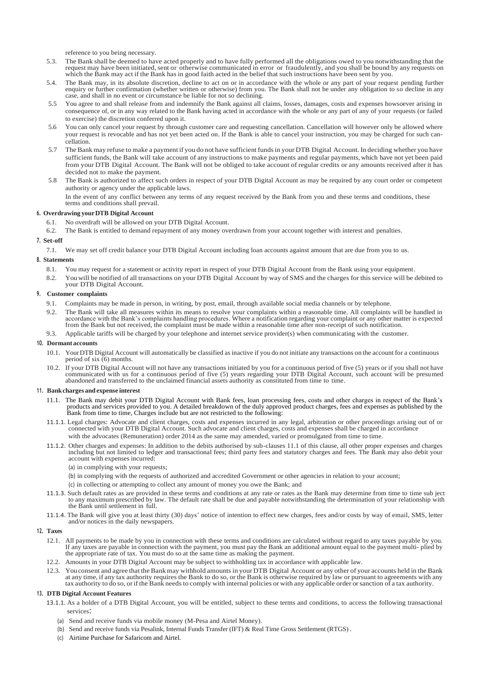reference to you being necessary.

- 5.3. The Bank shall be deemed to have acted properly and to have fully performed all the obligations owed to you notwithstanding that the request may have been initiated, sent or otherwise communicated in error or fraudule which the Bank may act if the Bank has in good faith acted in the belief that such instructions have been sent by you.
- 5.4. The Bank may, in its absolute discretion, decline to act on or in accordance with the whole or any part of your request pending further enquiry or further confirmation (whether written or otherwise) from you. The Bank shall not be under any obligation to so decline in any case, and shall in no event or circumstance be liable for not so declining.
- 5.5 You agree to and shall release from and indemnify the Bank against all claims, losses, damages, costs and expenses howsoever arising in consequence of, or in any way related to the Bank having acted in accordance with the whole or any part of any of your requests (or failed to exercise) the discretion conferred upon it.
- 5.6 You can only cancel your request by through customer care and requesting cancellation. Cancellation will however only be allowed where your request is revocable and has not yet been acted on. If the Bank is able to cancel your instruction, you may be charged for such cancellation.
- 5.7 The Bank may refuse to make a payment if you do not have sufficient fundsin your DTB Digital Account. In deciding whether you have sufficient funds, the Bank will take account of any instructions to make payments and regular payments,which have not yet been paid from your DTB Digital Account. The Bank will not be obliged to take account of regular credits or any amounts received after it has decided not to make the payment.
- 5.8 The Bank is authorized to affect such orders in respect of your DTB Digital Account as may be required by any court order or competent authority or agency under the applicable laws.

In the event of any conflict between any terms of any request received by the Bank from you and these terms and conditions, these terms and conditions shall prevail.

## **6. Overdrawing yourDTB Digital Account**

- 6.1. No overdraft will be allowed on your DTB Digital Account.
- 6.2. The Bank is entitled to demand repayment of any money overdrawn from your account together with interest and penalties.

#### **7. Set-off**

7.1. We may set off credit balance your DTB Digital Account including loan accounts against amount that are due from you to us.

## **8. Statements**

- 8.1. You may request for a statement or activity report in respect of your DTB Digital Account from the Bank using your equipment.
- 8.2. You will be notified of all transactions on your DTB Digital Account by way of SMS and the charges for this service will be debited to your DTB Digital Account.

## **9. Customer complaints**

- 9.1. Complaints may be made in person, in writing, by post, email, through available social media channels or by telephone.
- 9.2. The Bank will take all measures within its means to resolve your complaints within a reasonable time. All complaints will be handled in accordance with the Bank's complaints handling procedures. Where a notification r from the Bank but not received, the complaint must be made within a reasonable time after non-receipt of such notification.
- 9.3. Applicable tariffs will be charged by your telephone and internet service provider(s) when communicating with the customer.

#### **10. Dormant accounts**

- 10.1. YourDTB Digital Account will automatically be classified asinactive if you do not initiate any transactions on the account for a continuous period of six  $(6)$  months.
- 10.2. If your DTB Digital Account will not have any transactions initiated by you for a continuous period of five (5) years or if you shall not have communicated with us for a continuous period of five (5) years regarding your DTB Digital Account, such account will be presumed<br>abandoned and transferred to the unclaimed financial assets authority as constituted from tim

#### **11. Bankcharges andexpense interest**

- 11.1. The Bank may debit your DTB Digital Account with Bank fees, loan processing fees, costs and other charges in respect of the Bank's products and services provided to you. A detailed breakdown of the duly approved product charges, fees and expenses as published by the Bank from time to time, Charges include but are not restricted to the following:
- 11.1.1. Legal charges: Advocate and client charges, costs and expenses incurred in any legal, arbitration or other proceedings arising out of or connected with your DTB Digital Account. Such advocate and client charges, costs and expenses shall be charged in accordance with the advocates (Remuneration) order 2014 as the same may amended, varied or promulgated from time to time.
- 11.1.2. Other charges and expenses: In addition to the debits authorised by sub-clauses 11.1 of this clause, all other proper expenses and charges including but not limited to ledger and transactional fees; third party fee
	- (a) in complying with your requests;
	- (b) in complying with the requests of authorized and accredited Government or other agencies in relation to your account;
	- (c) in collecting or attempting to collect any amount of money you owe the Bank; and
- 11.1.3. Such default rates as are provided in these terms and conditions at any rate or rates as the Bank may determine from time to time sub ject to any maximum prescribed by law. The default rate shall be due and payable notwithstanding the determination of your relationship with the Bank until settlement in full.
- 11.1.4. The Bank will give you at least thirty (30) days' notice of intention to effect new charges, fees and/or costs by way of email, SMS, letter and/or notices in the daily newspapers.

## **12. Taxes**

- 12.1. All payments to be made by you in connection with these terms and conditions are calculated without regard to any taxes payable by you. If any taxes are payable in connection with the payment, you must pay the Bank an additional amount equal to the payment multi- plied by the appropriate rate of tax. You must do so at the same time as making the payment.
- 12.2. Amounts in your DTB Digital Account may be subject to withholding tax in accordance with applicable law.
- 12.3. You consent and agree that the Bank may withhold amounts in your DTB Digital Account or any other of your accounts held in the Bank at any time, if any tax authority requires the Bank to do so, or the Bank is otherwise required by law or pursuant to agreements with any tax authority to do so, orif the Bank needs to comply with internal policies or with any applicable order orsanction of a tax authority.

## **13. DTB Digital Account Features**

- 13.1.1. As a holder of a DTB Digital Account, you will be entitled, subject to these terms and conditions, to access the following transactional services:
	- (a) Send and receive funds via mobile money (M-Pesa and Airtel Money).
	- (b) Send and receive funds via Pesalink, Internal Funds Transfer (IFT) & Real Time Gross Settlement (RTGS) .
	- (c) Airtime Purchase for Safaricom and Airtel.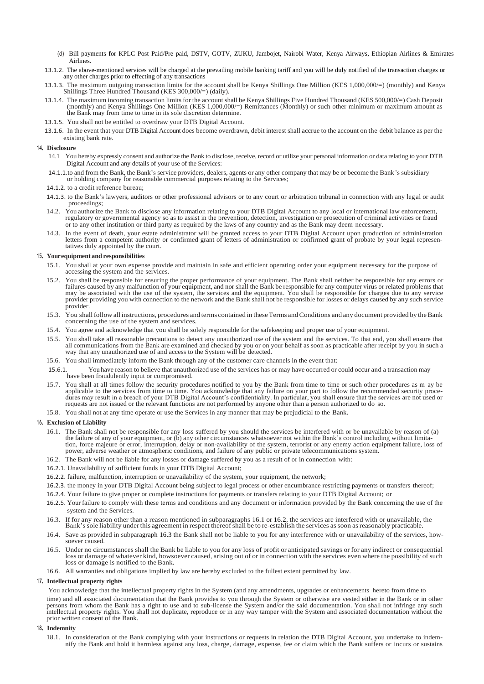- (d) Bill payments for KPLC Post Paid/Pre paid, DSTV, GOTV, ZUKU, Jambojet, Nairobi Water, Kenya Airways, Ethiopian Airlines & Emirates Airlines.
- 13.1.2. The above-mentioned services will be charged at the prevailing mobile banking tariff and you will be duly notified of the transaction charges or any other charges prior to effecting of any transactions
- 13.1.3. The maximum outgoing transaction limits for the account shall be Kenya Shillings One Million (KES 1,000,000/=) (monthly) and Kenya Shillings Three Hundred Thousand (KES 300,000/=) (daily).
- 13.1.4. The maximum incoming transaction limits for the account shall be Kenya Shillings Five Hundred Thousand (KES 500,000/=) Cash Deposit (monthly) and Kenya Shillings One Million (KES 1,000,000/=) Remittances (Monthly) or such other minimum or maximum amount as the Bank may from time to time in its sole discretion determine.
- 13.1.5. You shall not be entitled to overdraw your DTB Digital Account.
- 13.1.6. In the event that your DTB Digital Account does become overdrawn, debit interest shall accrue to the account on the debit balance as per the existing bank rate.

## **14. Disclosure**

- 14.1 You hereby expressly consent and authorize the Bank to disclose, receive, record or utilize your personal information or data relating to your DTB Digital Account and any details of your use of the Services:
- 14.1.1.to and from the Bank, the Bank's service providers, dealers, agents or any other company that may be or become the Bank's subsidiary or holding company for reasonable commercial purposes relating to the Services;
- 14.1.2. to a credit reference bureau;
- 14.1.3. to the Bank's lawyers, auditors or other professional advisors or to any court or arbitration tribunal in connection with any leg al or audit proceedings;
- 14.2. You authorize the Bank to disclose any information relating to your DTB Digital Account to any local or international law enforcement, regulatory or governmental agency so as to assist in the prevention, detection, investigation or prosecution of criminal activities or fraud or to any other institution or third party as required by the laws of any country and as the Bank may deem necessary.
- 14.3. In the event of death, your estate administrator will be granted access to your DTB Digital Account upon production of administration letters from a competent authority or confirmed grant of letters of administration tatives duly appointed by the court.

#### **15. Yourequipment and responsibilities**

- 15.1. You shall at your own expense provide and maintain in safe and efficient operating order your equipment necessary for the purpose of accessing the system and the services.
- 15.2. You shall be responsible for ensuring the proper performance of your equipment. The Bank shall neither be responsible for any errors or failures caused by any malfunction of your equipment, and nor shall the Bank be responsible for any computer virus or related problems that may be associated with the use of the system, the services and the equipment. You provider providing you with connection to the network and the Bank shall not be responsible for losses or delays caused by any such service provider.
- 15.3. You shallfollow all instructions, procedures and terms contained in theseTerms andConditions and any document provided by theBank concerning the use of the system and services.
- 15.4. You agree and acknowledge that you shall be solely responsible for the safekeeping and proper use of your equipment.
- 15.5. You shall take all reasonable precautions to detect any unauthorized use of the system and the services. To that end, you shall ensure that all communications from the Bank are examined and checked by you or on your behalf as soon as practicable after receipt by you in such a way that any unauthorized use of and access to the System will be detected.
- 15.6. You shall immediately inform the Bank through any of the customer care channels in the event that:
- 15.6.1. You have reason to believe that unauthorized use of the services has or may have occurred or could occur and a transaction may have been fraudulently input or compromised.
- 15.7. You shall at all times follow the security procedures notified to you by the Bank from time to time or such other procedures as m ay be applicable to the services from time to time. You acknowledge that any failure o dures may result in a breach of your DTB Digital Account's confidentiality. In particular, you shall ensure that the services are not used or requests are not issued or the relevant functions are not performed by anyone ot
- 15.8. You shall not at any time operate or use the Services in any manner that may be prejudicial to the Bank.

## **16. Exclusion of Liability**

- 16.1. The Bank shall not be responsible for any loss suffered by you should the services be interfered with or be unavailable by reason of (a) the failure of any of your equipment, or (b) any other circumstances whatsoever not within the Bank's control including without limitation, force majeure or error, interruption, delay or non-availability of the system, terrorist or any enemy action equipment failure, loss of power, adverse weather or atmospheric conditions, and failure of any public or private telecommunications system.
- 16.2. The Bank will not be liable for any losses or damage suffered by you as a result of or in connection with:
- 16.2.1. Unavailability of sufficient funds in your DTB Digital Account;
- 16.2.2. failure, malfunction, interruption or unavailability of the system, your equipment, the network;
- 16.2.3. the money in your DTB Digital Account being subject to legal process or other encumbrance restricting payments or transfers thereof;
- 16.2.4. Your failure to give proper or complete instructions for payments or transfers relating to your DTB Digital Account; or
- 16.2.5. Your failure to comply with these terms and conditions and any document or information provided by the Bank concerning the use of the system and the Services.
- 16.3. If for any reason other than a reason mentioned in subparagraphs 16.1 or 16.2, the services are interfered with or unavailable, the Bank'ssole liability underthis agreement in respect thereofshall be to re-establish the services assoon asreasonably practicable.
- 16.4. Save as provided in subparagraph 16.3 the Bank shall not be liable to you for any interference with or unavailability of the services, howsoever caused.
- 16.5. Under no circumstances shall the Bank be liable to you for any loss of profit or anticipated savings or for any indirect or consequential loss or damage of whatever kind, howsoever caused, arising out of or in connection with the services even where the possibility of such loss or damage is notified to the Bank.
- 16.6. All warranties and obligations implied by law are hereby excluded to the fullest extent permitted by law.

## **17. Intellectual property rights**

You acknowledge that the intellectual property rights in the System (and any amendments, upgrades or enhancements hereto from time to time) and all associated documentation that the Bank provides to you through the System or otherwise are vested either in the Bank or in other persons from whom the Bank has a right to use and to sub-license the System and/or the said documentation. You shall not infringe any such intellectual property rights. You shall not duplicate, reproduce or in any way tamp prior written consent of the Bank.

## **18. Indemnity**

18.1. In consideration of the Bank complying with your instructions or requests in relation the DTB Digital Account, you undertake to indemnify the Bank and hold it harmless against any loss, charge, damage, expense, fee or claim which the Bank suffers or incurs or sustains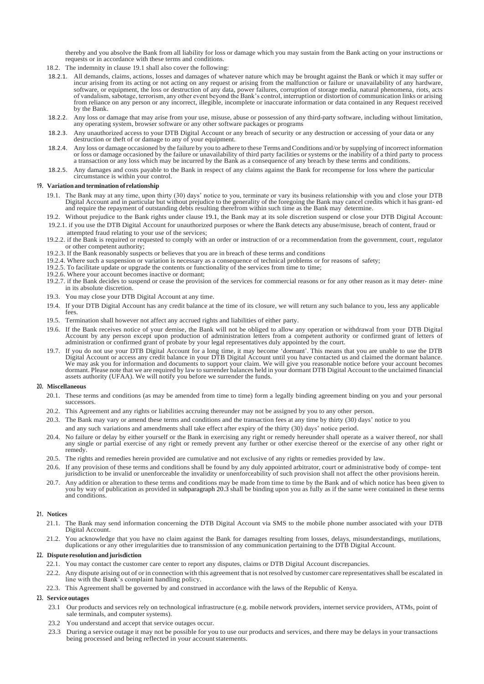thereby and you absolve the Bank from all liability for loss or damage which you may sustain from the Bank acting on your instructions or requests or in accordance with these terms and conditions.

- 18.2. The indemnity in clause 19.1 shall also cover the following:
- 18.2.1. All demands, claims, actions, losses and damages of whatever nature which may be brought against the Bank or which it may suffer or incur arising from its acting or not acting on any request or arising from the malfunction or failure or unavailability of any hardware,<br>software, or equipment, the loss or destruction of any data, power failures, corrupti from reliance on any person or any incorrect, illegible, incomplete or inaccurate information or data contained in any Request received by the Bank.
- 18.2.2. Any loss or damage that may arise from your use, misuse, abuse or possession of any third-party software, including without limitation, any operating system, browser software or any other software packages or programs
- 18.2.3. Any unauthorized access to your DTB Digital Account or any breach of security or any destruction or accessing of your data or any destruction or theft of or damage to any of your equipment.
- 18.2.4. Any loss or damage occasioned by the failure by you to adhere to these Terms and Conditions and/or by supplying of incorrect information or loss or damage occasioned by the failure or unavailability of third party facilities or systems or the inability of a third party to process<br>a transaction or any loss which may be incurred by the Bank as a consequence o
- 18.2.5. Any damages and costs payable to the Bank in respect of any claims against the Bank for recompense for loss where the particular circumstance is within your control.

#### **19. Variationand termination of relationship**

- 19.1. The Bank may at any time, upon thirty (30) days' notice to you, terminate or vary its business relationship with you and close your DTB Digital Account and in particular but without prejudice to the generality of the foregoing the Bank may cancel credits which it has grant- ed and require the repayment of outstanding debts resulting therefrom within such time as the Bank may determine.
- 19.2. Without prejudice to the Bank rights under clause 19.1, the Bank may at its sole discretion suspend or close your DTB Digital Account: 19.2.1. if you use the DTB Digital Account for unauthorized purposes or where the Bank detects any abuse/misuse, breach of content, fraud or
- attempted fraud relating to your use of the services; 19.2.2. if the Bank is required or requested to comply with an order or instruction of or a recommendation from the government, court, regulator or other competent authority;
- 19.2.3. If the Bank reasonably suspects or believes that you are in breach of these terms and conditions
- 19.2.4. Where such a suspension or variation is necessary as a consequence of technical problems or for reasons of safety;
- 19.2.5. To facilitate update or upgrade the contents or functionality of the services from time to time;
- 19.2.6. Where your account becomes inactive or dormant;
- 19.2.7. if the Bank decides to suspend or cease the provision of the services for commercial reasons or for any other reason as it may deter- mine in its absolute discretion.
- 19.3. You may close your DTB Digital Account at any time.
- 19.4. If your DTB Digital Account has any credit balance at the time of its closure, we will return any such balance to you, less any applicable fees.
- 19.5. Termination shall however not affect any accrued rights and liabilities of either party.
- 19.6. If the Bank receives notice of your demise, the Bank will not be obliged to allow any operation or withdrawal from your DTB Digital Account by any person except upon production of administration letters from a competent authority or confirmed grant of letters of administration or confirmed grant of probate by your legal representatives duly appointed by the court.
- 19.7. If you do not use your DTB Digital Account for a long time, it may become 'dormant'. This means that you are unable to use the DTB Digital Account or access any credit balance in your DTB Digital Account until you have contacted us and claimed the dormant balance. We may ask you for information and documents to support your claim. We will give you reasonable notice before your account becomes dormant. Please note that we are required by law to surrender balances held in your dormant DTB Digital Account to the unclaimed financial assets authority (UFAA). We will notify you before we surrender the funds.

#### **20. Miscellaneous**

- 20.1. These terms and conditions (as may be amended from time to time) form a legally binding agreement binding on you and your personal successors.
- 20.2. This Agreement and any rights or liabilities accruing thereunder may not be assigned by you to any other person.
- 20.3. The Bank may vary or amend these terms and conditions and the transaction fees at any time by thirty (30) days' notice to you
- and any such variations and amendments shall take effect after expiry of the thirty (30) days' notice period.
- 20.4. No failure or delay by either yourself or the Bank in exercising any right or remedy hereunder shall operate as a waiver thereof, nor shall any single or partial exercise of any right or remedy prevent any further or other exercise thereof or the exercise of any other right or remedy.
- 20.5. The rights and remedies herein provided are cumulative and not exclusive of any rights or remedies provided by law.
- 20.6. If any provision of these terms and conditions shall be found by any duly appointed arbitrator, court or administrative body of compe- tent jurisdiction to be invalid or unenforceable the invalidity or unenforceability of such provision shall not affect the other provisions herein.
- 20.7. Any addition or alteration to these terms and conditions may be made from time to time by the Bank and of which notice has been given to you by way of publication as provided in subparagraph 20.3 shall be binding upo and conditions.

#### **21. Notices**

- 21.1. The Bank may send information concerning the DTB Digital Account via SMS to the mobile phone number associated with your DTB Digital Account.
- 21.2. You acknowledge that you have no claim against the Bank for damages resulting from losses, delays, misunderstandings, mutilations, duplications or any other irregularities due to transmission of any communication pertaining to the DTB Digital Account.

#### **22. Dispute resolution andjurisdiction**

- 22.1. You may contact the customer care center to report any disputes, claims or DTB Digital Account discrepancies.
- 22.2. Any dispute arising out of orin connection with this agreement that is not resolved by customer care representatives shall be escalated in line with the Bank's complaint handling policy.
- 22.3. This Agreement shall be governed by and construed in accordance with the laws of the Republic of Kenya.

# **23. Service outages**

- 23.1 Our products and services rely on technological infrastructure (e.g. mobile network providers, internet service providers, ATMs, point of sale terminals, and computer systems).
- 23.2 You understand and accept that service outages occur.
- 23.3 During a service outage it may not be possible for you to use our products and services, and there may be delays in your transactions being processed and being reflected in your account statements.